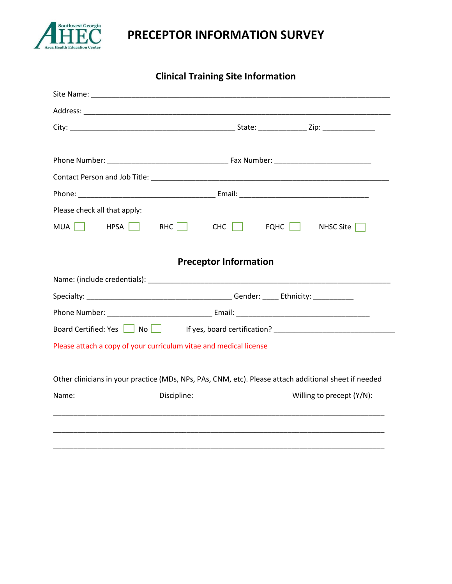

## **PRECEPTOR INFORMATION SURVEY**

**Clinical Training Site Information**

| Please check all that apply: |                                                                                                       |
|------------------------------|-------------------------------------------------------------------------------------------------------|
|                              | MUA HPSA RHC CHC FQHC<br>NHSC Site $\Box$                                                             |
|                              |                                                                                                       |
|                              | <b>Preceptor Information</b>                                                                          |
|                              |                                                                                                       |
|                              |                                                                                                       |
|                              |                                                                                                       |
|                              | Board Certified: Yes No No Hyes, board certification? __________________________                      |
|                              | Please attach a copy of your curriculum vitae and medical license                                     |
|                              |                                                                                                       |
|                              | Other clinicians in your practice (MDs, NPs, PAs, CNM, etc). Please attach additional sheet if needed |
| Name:                        | Discipline:<br>Willing to precept (Y/N):                                                              |
|                              |                                                                                                       |
|                              |                                                                                                       |
|                              |                                                                                                       |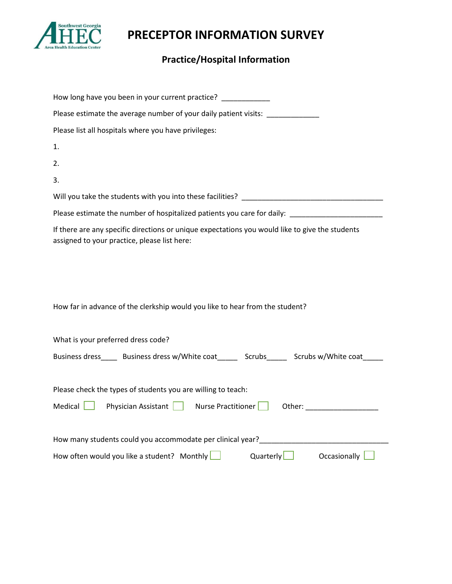

**PRECEPTOR INFORMATION SURVEY**

## **Practice/Hospital Information**

| How long have you been in your current practice?                                                                                                |  |  |
|-------------------------------------------------------------------------------------------------------------------------------------------------|--|--|
| Please estimate the average number of your daily patient visits: ______________                                                                 |  |  |
| Please list all hospitals where you have privileges:                                                                                            |  |  |
| 1.                                                                                                                                              |  |  |
| 2.                                                                                                                                              |  |  |
| 3.                                                                                                                                              |  |  |
|                                                                                                                                                 |  |  |
| Please estimate the number of hospitalized patients you care for daily: ___________________________                                             |  |  |
| If there are any specific directions or unique expectations you would like to give the students<br>assigned to your practice, please list here: |  |  |
|                                                                                                                                                 |  |  |
|                                                                                                                                                 |  |  |
|                                                                                                                                                 |  |  |
| How far in advance of the clerkship would you like to hear from the student?                                                                    |  |  |
|                                                                                                                                                 |  |  |
| What is your preferred dress code?                                                                                                              |  |  |
| Business dress______ Business dress w/White coat________ Scrubs_______ Scrubs w/White coat______                                                |  |  |
|                                                                                                                                                 |  |  |
| Please check the types of students you are willing to teach:                                                                                    |  |  |
| Medical Physician Assistant Nurse Practitioner                                                                                                  |  |  |
|                                                                                                                                                 |  |  |
|                                                                                                                                                 |  |  |
| Quarterly Occasionally<br>How often would you like a student? Monthly $\Box$                                                                    |  |  |
|                                                                                                                                                 |  |  |